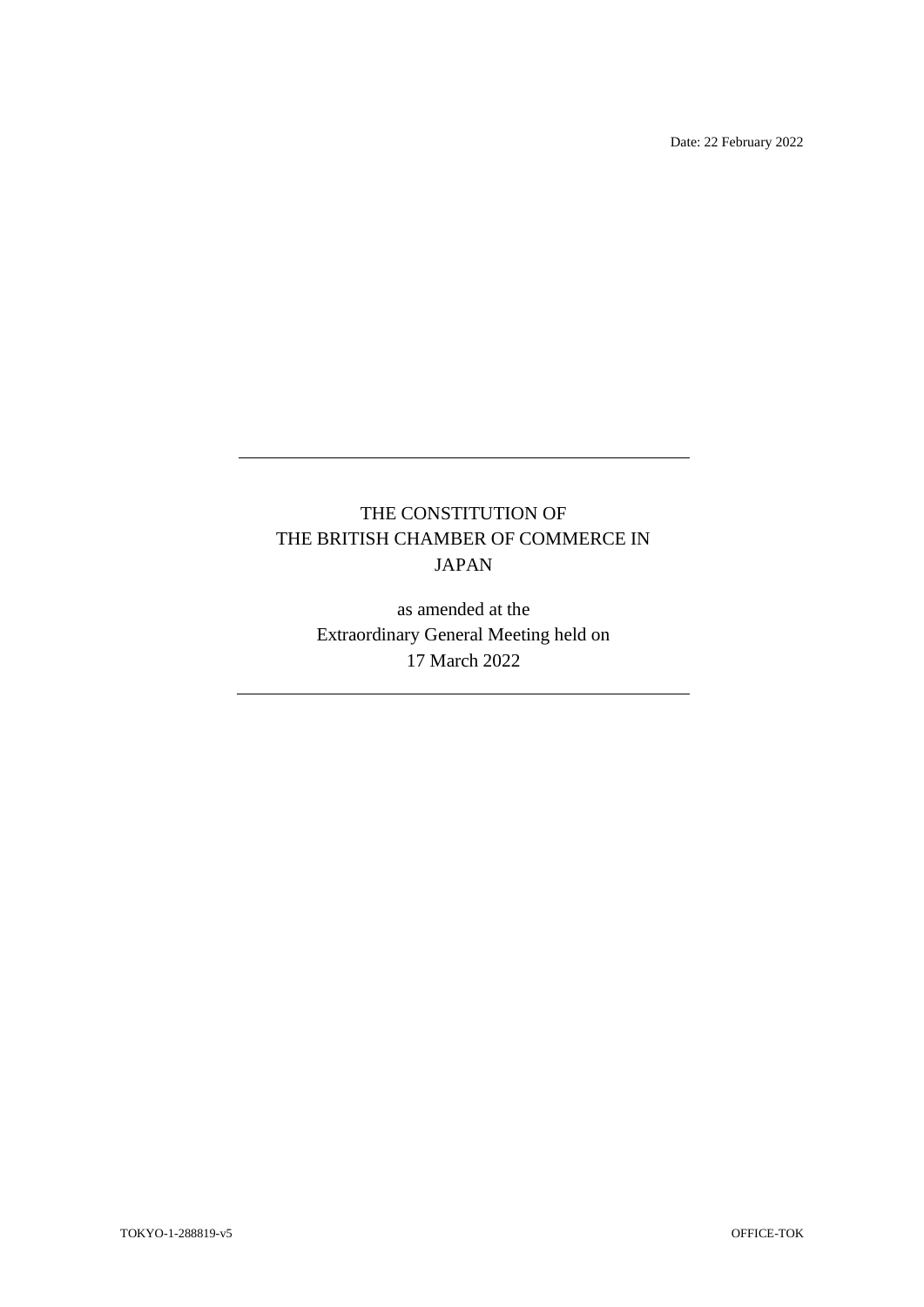Date: 22 February 2022

# THE CONSTITUTION OF THE BRITISH CHAMBER OF COMMERCE IN JAPAN

as amended at the Extraordinary General Meeting held on 17 March 2022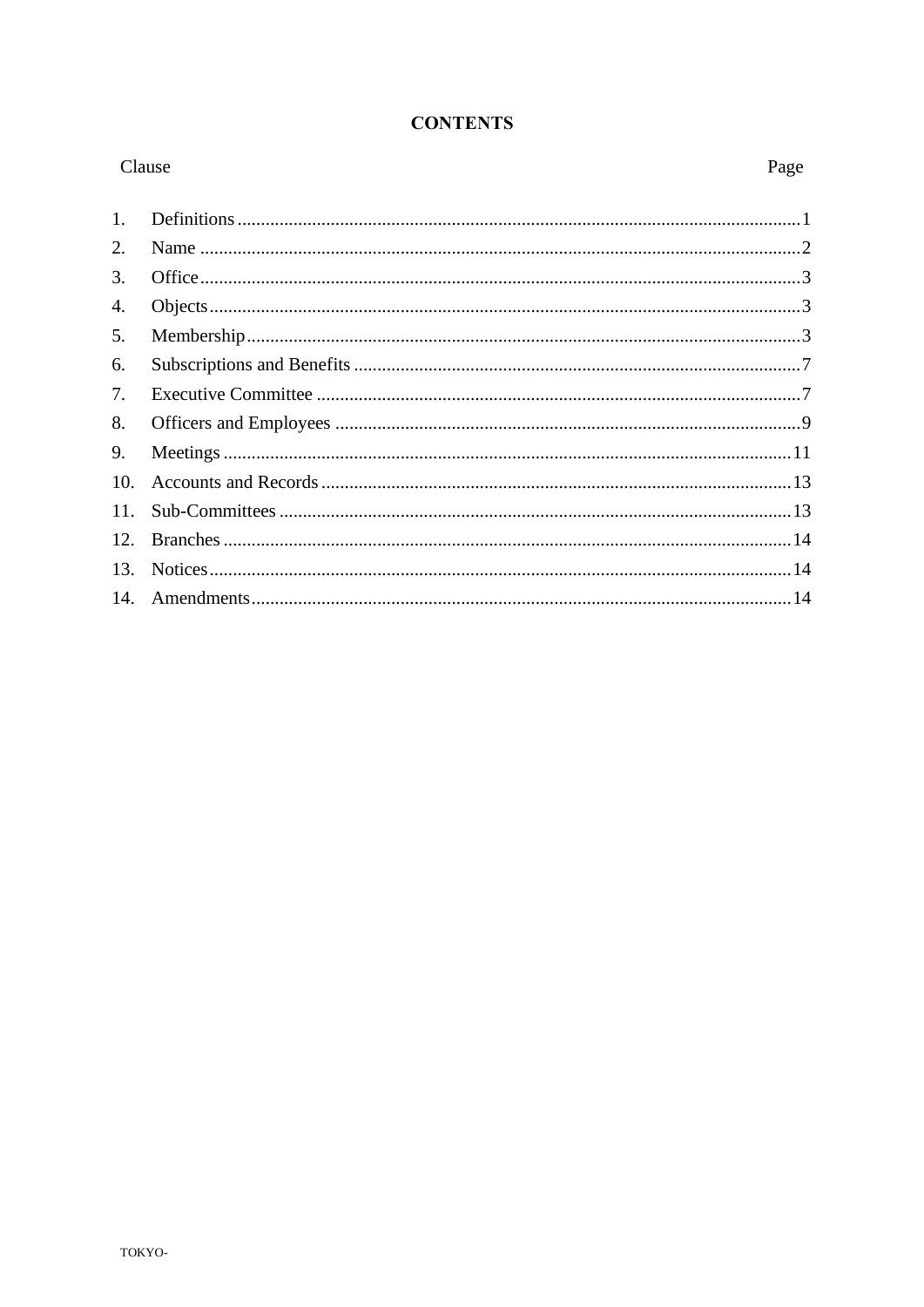# **CONTENTS**

| Clause |  | Page |
|--------|--|------|
| 1.     |  |      |
| 2.     |  |      |
| 3.     |  |      |
| 4.     |  |      |
| 5.     |  |      |
| 6.     |  |      |
| 7.     |  |      |
| 8.     |  |      |
| 9.     |  |      |
| 10.    |  |      |
| 11.    |  |      |
| 12.    |  |      |
| 13.    |  |      |
|        |  |      |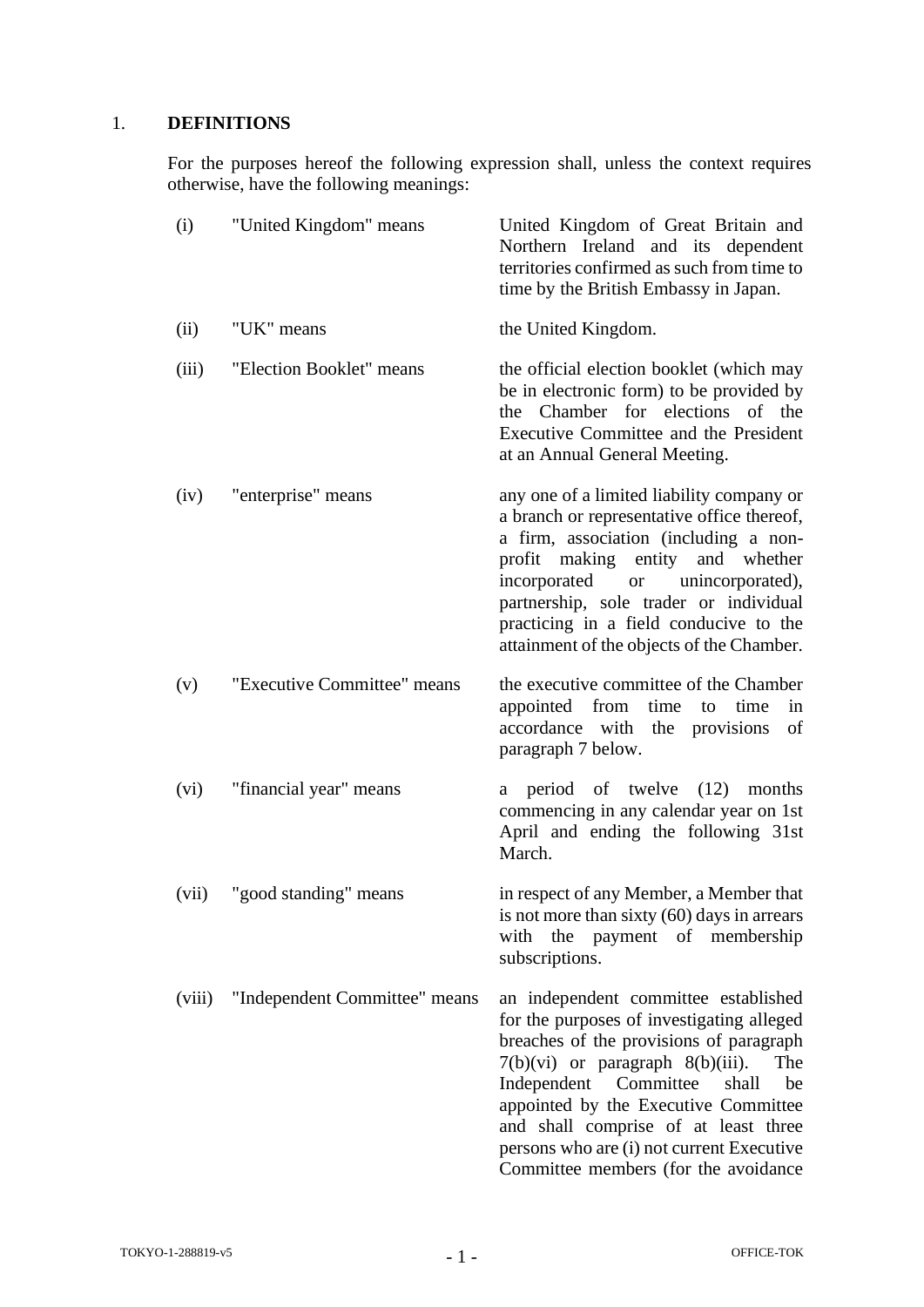# <span id="page-2-0"></span>1. **DEFINITIONS**

For the purposes hereof the following expression shall, unless the context requires otherwise, have the following meanings:

| (i)    | "United Kingdom" means        | United Kingdom of Great Britain and<br>Northern Ireland and its dependent<br>territories confirmed as such from time to<br>time by the British Embassy in Japan.                                                                                                                                                                                                                          |
|--------|-------------------------------|-------------------------------------------------------------------------------------------------------------------------------------------------------------------------------------------------------------------------------------------------------------------------------------------------------------------------------------------------------------------------------------------|
| (ii)   | "UK" means                    | the United Kingdom.                                                                                                                                                                                                                                                                                                                                                                       |
| (iii)  | "Election Booklet" means      | the official election booklet (which may<br>be in electronic form) to be provided by<br>the Chamber for elections of the<br>Executive Committee and the President<br>at an Annual General Meeting.                                                                                                                                                                                        |
| (iv)   | "enterprise" means            | any one of a limited liability company or<br>a branch or representative office thereof,<br>a firm, association (including a non-<br>profit making entity and whether<br>incorporated<br>or unincorporated),<br>partnership, sole trader or individual<br>practicing in a field conducive to the<br>attainment of the objects of the Chamber.                                              |
| (v)    | "Executive Committee" means   | the executive committee of the Chamber<br>appointed from<br>time<br>to time<br>in<br>accordance with the provisions<br>of<br>paragraph 7 below.                                                                                                                                                                                                                                           |
| (vi)   | "financial year" means        | period of twelve<br>(12)<br>months<br>a<br>commencing in any calendar year on 1st<br>April and ending the following 31st<br>March.                                                                                                                                                                                                                                                        |
| (vii)  | "good standing" means         | in respect of any Member, a Member that<br>is not more than sixty $(60)$ days in arrears<br>the payment of membership<br>with<br>subscriptions.                                                                                                                                                                                                                                           |
| (viii) | "Independent Committee" means | an independent committee established<br>for the purposes of investigating alleged<br>breaches of the provisions of paragraph<br>$7(b)(vi)$ or paragraph $8(b)(iii)$ .<br>The<br>Independent Committee<br>shall<br>be<br>appointed by the Executive Committee<br>and shall comprise of at least three<br>persons who are (i) not current Executive<br>Committee members (for the avoidance |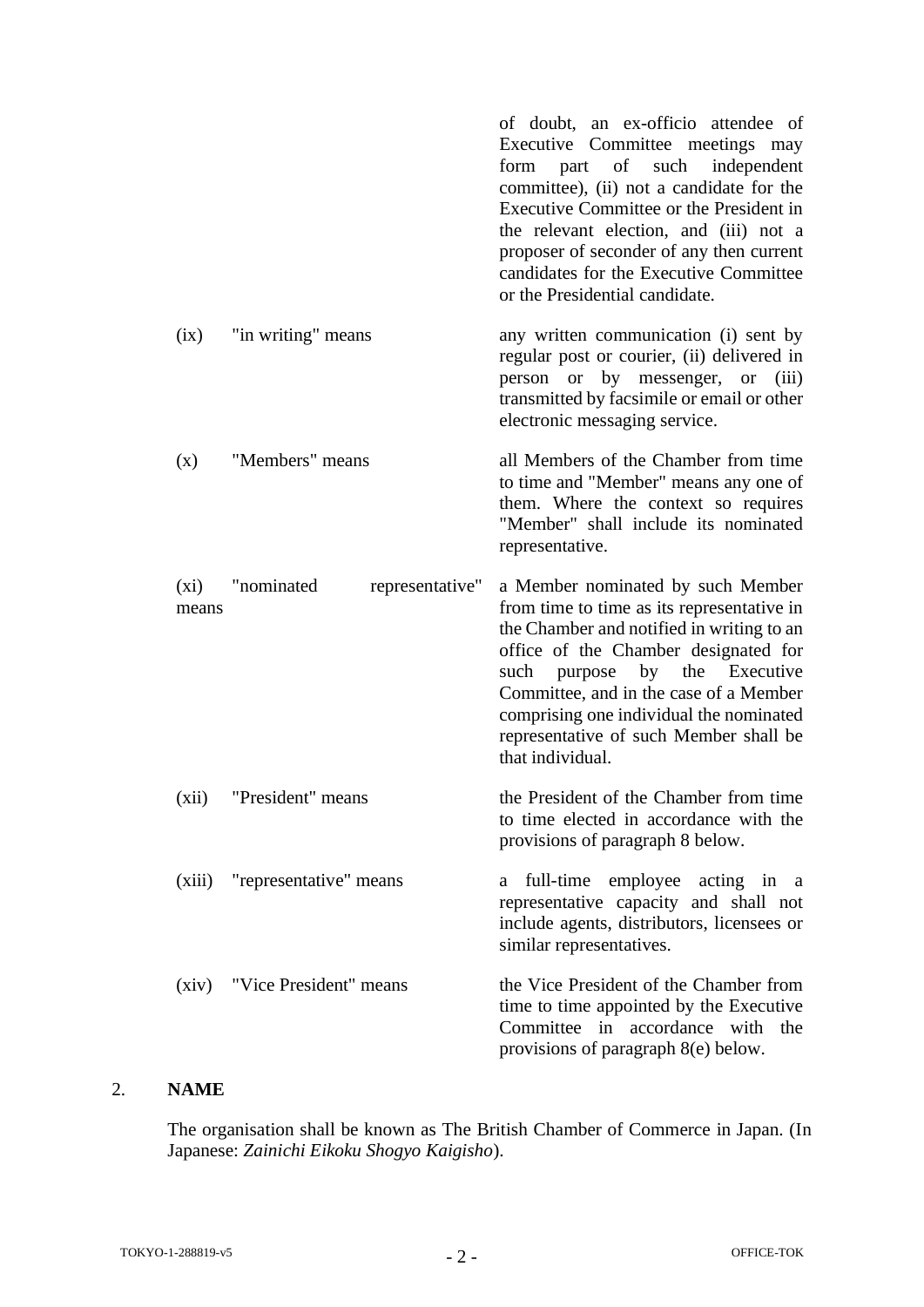|                  |                               | of doubt, an ex-officio attendee of<br>Executive Committee meetings may<br>of<br>such<br>independent<br>form<br>part<br>committee), (ii) not a candidate for the<br>Executive Committee or the President in<br>the relevant election, and (iii) not a<br>proposer of seconder of any then current<br>candidates for the Executive Committee<br>or the Presidential candidate. |
|------------------|-------------------------------|-------------------------------------------------------------------------------------------------------------------------------------------------------------------------------------------------------------------------------------------------------------------------------------------------------------------------------------------------------------------------------|
| (ix)             | "in writing" means            | any written communication (i) sent by<br>regular post or courier, (ii) delivered in<br>person or by messenger, or<br>(iii)<br>transmitted by facsimile or email or other<br>electronic messaging service.                                                                                                                                                                     |
| (x)              | "Members" means               | all Members of the Chamber from time<br>to time and "Member" means any one of<br>them. Where the context so requires<br>"Member" shall include its nominated<br>representative.                                                                                                                                                                                               |
| $(x_i)$<br>means | "nominated<br>representative" | a Member nominated by such Member<br>from time to time as its representative in<br>the Chamber and notified in writing to an<br>office of the Chamber designated for<br>purpose<br>the<br>Executive<br>such<br>by<br>Committee, and in the case of a Member<br>comprising one individual the nominated<br>representative of such Member shall be<br>that individual.          |
| (xii)            | "President" means             | the President of the Chamber from time<br>to time elected in accordance with the<br>provisions of paragraph 8 below.                                                                                                                                                                                                                                                          |
| (xiii)           | "representative" means        | full-time employee<br>acting in a<br>a<br>representative capacity and shall not<br>include agents, distributors, licensees or<br>similar representatives.                                                                                                                                                                                                                     |
| (xiv)            | "Vice President" means        | the Vice President of the Chamber from<br>time to time appointed by the Executive<br>Committee in accordance with<br>the<br>provisions of paragraph 8(e) below.                                                                                                                                                                                                               |

# <span id="page-3-0"></span>2. **NAME**

The organisation shall be known as The British Chamber of Commerce in Japan. (In Japanese: *Zainichi Eikoku Shogyo Kaigisho*).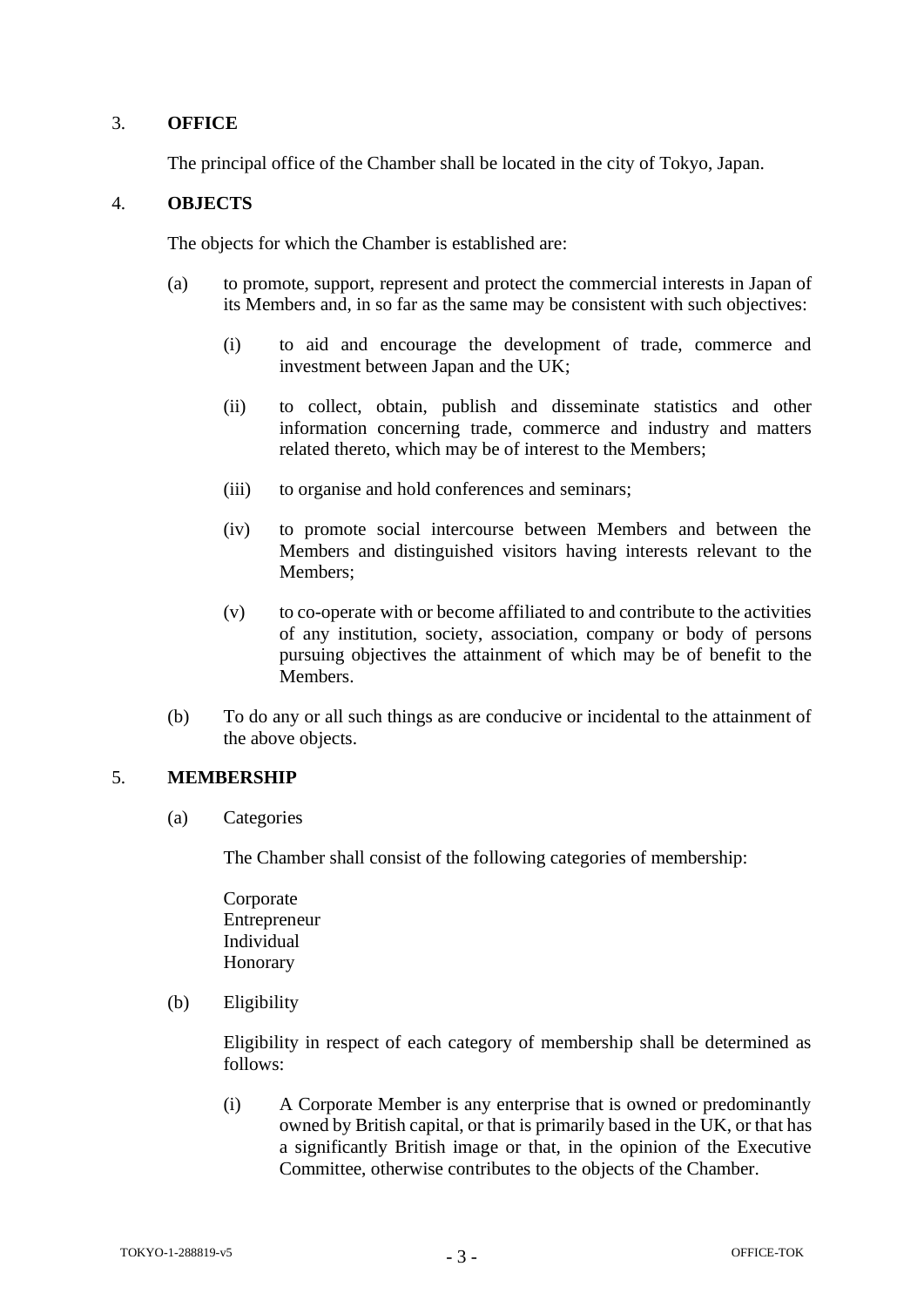# <span id="page-4-0"></span>3. **OFFICE**

The principal office of the Chamber shall be located in the city of Tokyo, Japan.

#### <span id="page-4-1"></span>4. **OBJECTS**

The objects for which the Chamber is established are:

- (a) to promote, support, represent and protect the commercial interests in Japan of its Members and, in so far as the same may be consistent with such objectives:
	- (i) to aid and encourage the development of trade, commerce and investment between Japan and the UK;
	- (ii) to collect, obtain, publish and disseminate statistics and other information concerning trade, commerce and industry and matters related thereto, which may be of interest to the Members;
	- (iii) to organise and hold conferences and seminars;
	- (iv) to promote social intercourse between Members and between the Members and distinguished visitors having interests relevant to the Members;
	- (v) to co-operate with or become affiliated to and contribute to the activities of any institution, society, association, company or body of persons pursuing objectives the attainment of which may be of benefit to the Members.
- (b) To do any or all such things as are conducive or incidental to the attainment of the above objects.

#### <span id="page-4-2"></span>5. **MEMBERSHIP**

(a) Categories

The Chamber shall consist of the following categories of membership:

Corporate Entrepreneur Individual Honorary

(b) Eligibility

Eligibility in respect of each category of membership shall be determined as follows:

(i) A Corporate Member is any enterprise that is owned or predominantly owned by British capital, or that is primarily based in the UK, or that has a significantly British image or that, in the opinion of the Executive Committee, otherwise contributes to the objects of the Chamber.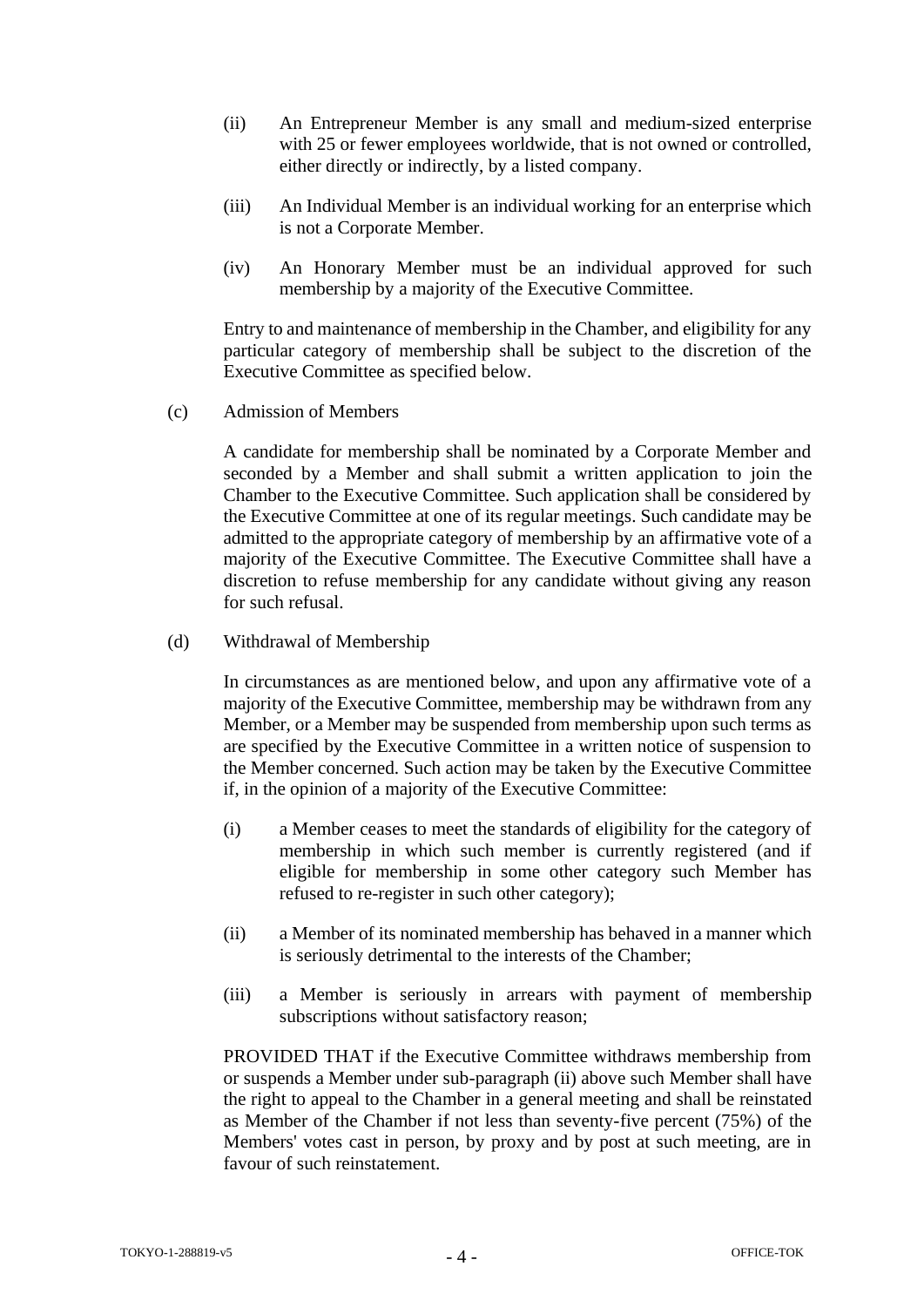- (ii) An Entrepreneur Member is any small and medium-sized enterprise with 25 or fewer employees worldwide, that is not owned or controlled, either directly or indirectly, by a listed company.
- (iii) An Individual Member is an individual working for an enterprise which is not a Corporate Member.
- (iv) An Honorary Member must be an individual approved for such membership by a majority of the Executive Committee.

Entry to and maintenance of membership in the Chamber, and eligibility for any particular category of membership shall be subject to the discretion of the Executive Committee as specified below.

(c) Admission of Members

A candidate for membership shall be nominated by a Corporate Member and seconded by a Member and shall submit a written application to join the Chamber to the Executive Committee. Such application shall be considered by the Executive Committee at one of its regular meetings. Such candidate may be admitted to the appropriate category of membership by an affirmative vote of a majority of the Executive Committee. The Executive Committee shall have a discretion to refuse membership for any candidate without giving any reason for such refusal.

(d) Withdrawal of Membership

In circumstances as are mentioned below, and upon any affirmative vote of a majority of the Executive Committee, membership may be withdrawn from any Member, or a Member may be suspended from membership upon such terms as are specified by the Executive Committee in a written notice of suspension to the Member concerned. Such action may be taken by the Executive Committee if, in the opinion of a majority of the Executive Committee:

- (i) a Member ceases to meet the standards of eligibility for the category of membership in which such member is currently registered (and if eligible for membership in some other category such Member has refused to re-register in such other category);
- (ii) a Member of its nominated membership has behaved in a manner which is seriously detrimental to the interests of the Chamber;
- (iii) a Member is seriously in arrears with payment of membership subscriptions without satisfactory reason;

PROVIDED THAT if the Executive Committee withdraws membership from or suspends a Member under sub-paragraph (ii) above such Member shall have the right to appeal to the Chamber in a general meeting and shall be reinstated as Member of the Chamber if not less than seventy-five percent (75%) of the Members' votes cast in person, by proxy and by post at such meeting, are in favour of such reinstatement.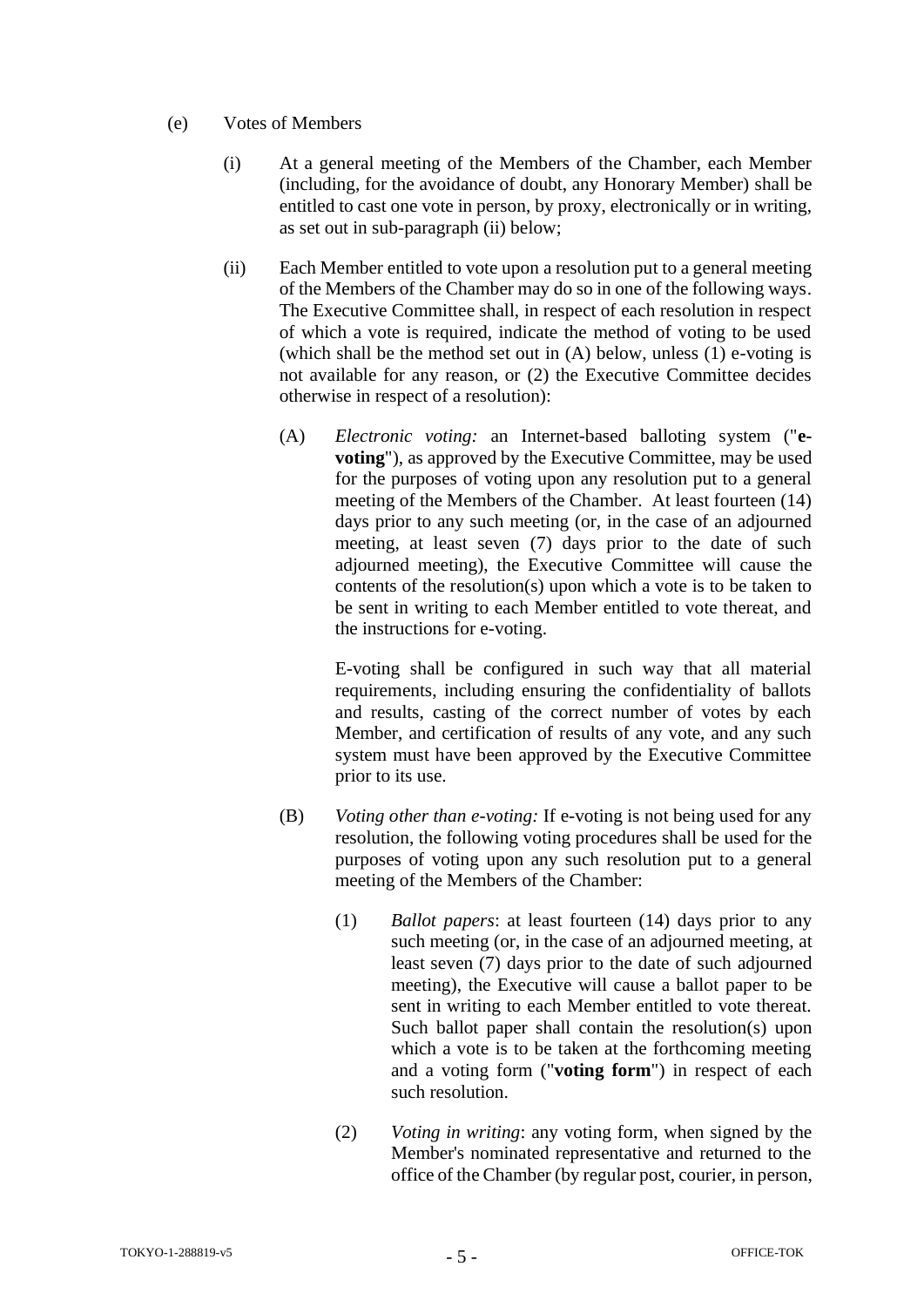# (e) Votes of Members

- (i) At a general meeting of the Members of the Chamber, each Member (including, for the avoidance of doubt, any Honorary Member) shall be entitled to cast one vote in person, by proxy, electronically or in writing, as set out in sub-paragraph (ii) below;
- (ii) Each Member entitled to vote upon a resolution put to a general meeting of the Members of the Chamber may do so in one of the following ways. The Executive Committee shall, in respect of each resolution in respect of which a vote is required, indicate the method of voting to be used (which shall be the method set out in (A) below, unless (1) e-voting is not available for any reason, or (2) the Executive Committee decides otherwise in respect of a resolution):
	- (A) *Electronic voting:* an Internet-based balloting system ("**evoting**"), as approved by the Executive Committee, may be used for the purposes of voting upon any resolution put to a general meeting of the Members of the Chamber. At least fourteen (14) days prior to any such meeting (or, in the case of an adjourned meeting, at least seven (7) days prior to the date of such adjourned meeting), the Executive Committee will cause the contents of the resolution(s) upon which a vote is to be taken to be sent in writing to each Member entitled to vote thereat, and the instructions for e-voting.

E-voting shall be configured in such way that all material requirements, including ensuring the confidentiality of ballots and results, casting of the correct number of votes by each Member, and certification of results of any vote, and any such system must have been approved by the Executive Committee prior to its use.

- (B) *Voting other than e-voting:* If e-voting is not being used for any resolution, the following voting procedures shall be used for the purposes of voting upon any such resolution put to a general meeting of the Members of the Chamber:
	- (1) *Ballot papers*: at least fourteen (14) days prior to any such meeting (or, in the case of an adjourned meeting, at least seven (7) days prior to the date of such adjourned meeting), the Executive will cause a ballot paper to be sent in writing to each Member entitled to vote thereat. Such ballot paper shall contain the resolution(s) upon which a vote is to be taken at the forthcoming meeting and a voting form ("**voting form**") in respect of each such resolution.
	- (2) *Voting in writing*: any voting form, when signed by the Member's nominated representative and returned to the office of the Chamber (by regular post, courier, in person,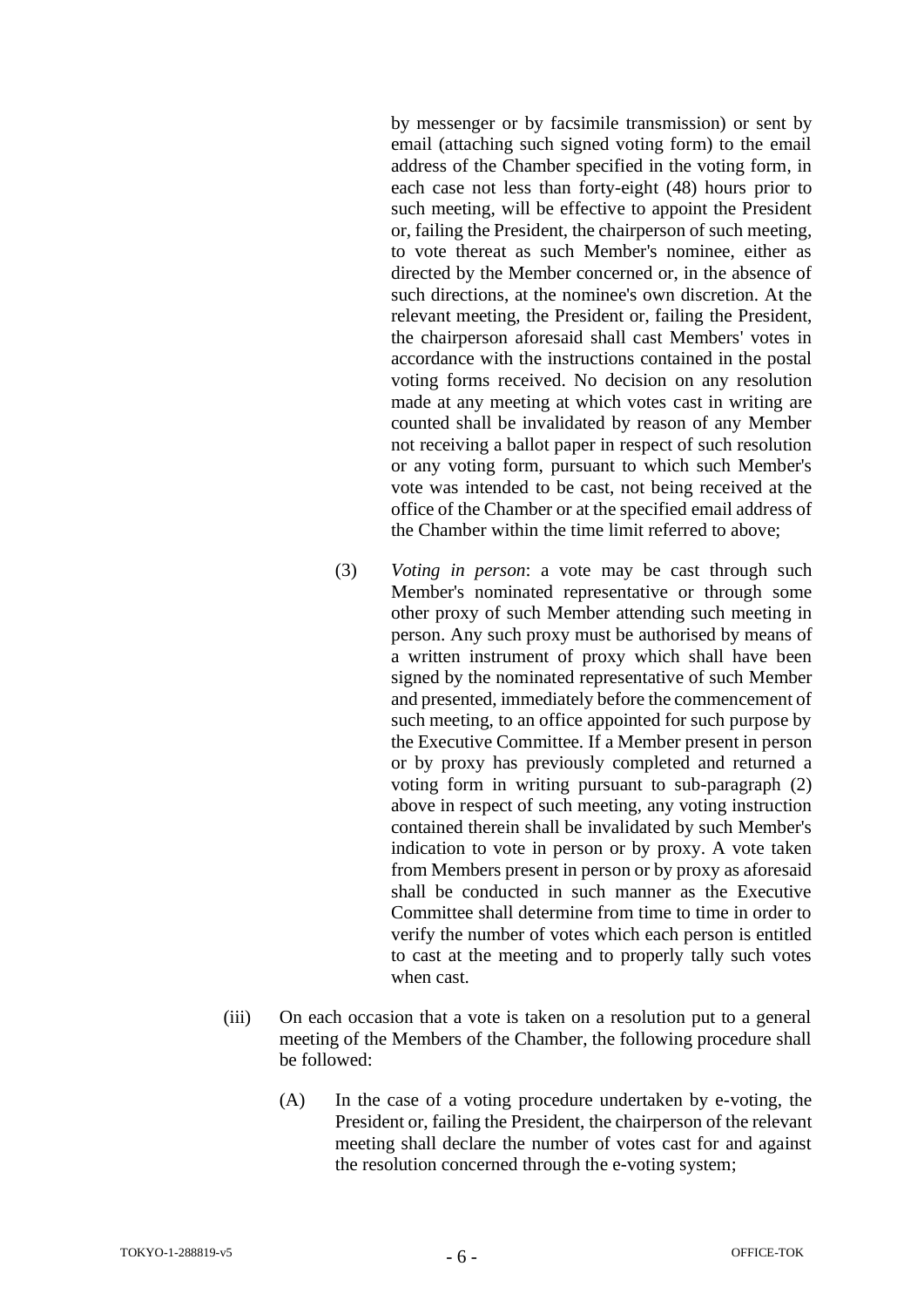by messenger or by facsimile transmission) or sent by email (attaching such signed voting form) to the email address of the Chamber specified in the voting form, in each case not less than forty-eight (48) hours prior to such meeting, will be effective to appoint the President or, failing the President, the chairperson of such meeting, to vote thereat as such Member's nominee, either as directed by the Member concerned or, in the absence of such directions, at the nominee's own discretion. At the relevant meeting, the President or, failing the President, the chairperson aforesaid shall cast Members' votes in accordance with the instructions contained in the postal voting forms received. No decision on any resolution made at any meeting at which votes cast in writing are counted shall be invalidated by reason of any Member not receiving a ballot paper in respect of such resolution or any voting form, pursuant to which such Member's vote was intended to be cast, not being received at the office of the Chamber or at the specified email address of the Chamber within the time limit referred to above;

- (3) *Voting in person*: a vote may be cast through such Member's nominated representative or through some other proxy of such Member attending such meeting in person. Any such proxy must be authorised by means of a written instrument of proxy which shall have been signed by the nominated representative of such Member and presented, immediately before the commencement of such meeting, to an office appointed for such purpose by the Executive Committee. If a Member present in person or by proxy has previously completed and returned a voting form in writing pursuant to sub-paragraph (2) above in respect of such meeting, any voting instruction contained therein shall be invalidated by such Member's indication to vote in person or by proxy. A vote taken from Members present in person or by proxy as aforesaid shall be conducted in such manner as the Executive Committee shall determine from time to time in order to verify the number of votes which each person is entitled to cast at the meeting and to properly tally such votes when cast.
- (iii) On each occasion that a vote is taken on a resolution put to a general meeting of the Members of the Chamber, the following procedure shall be followed:
	- (A) In the case of a voting procedure undertaken by e-voting, the President or, failing the President, the chairperson of the relevant meeting shall declare the number of votes cast for and against the resolution concerned through the e-voting system;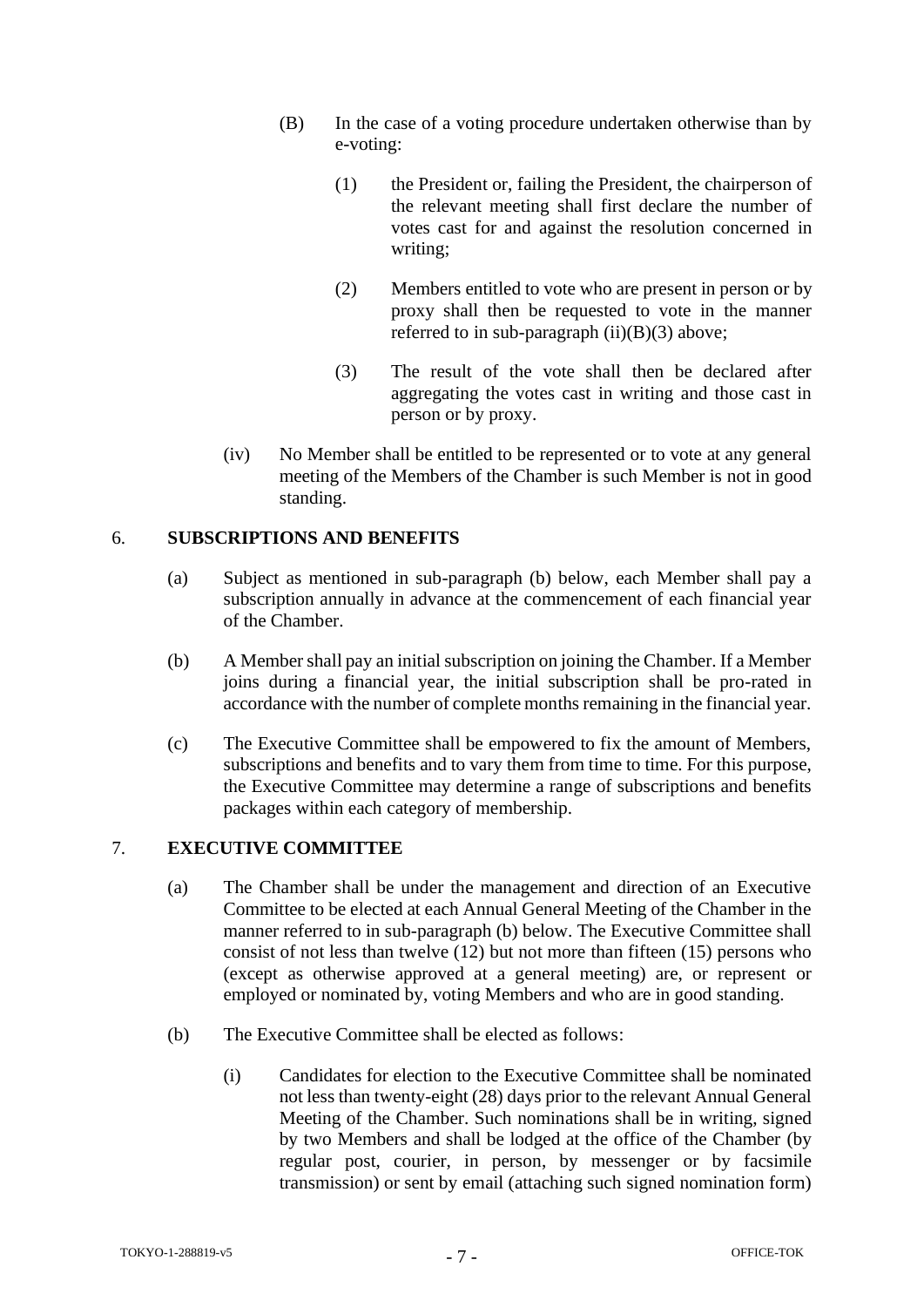- (B) In the case of a voting procedure undertaken otherwise than by e-voting:
	- (1) the President or, failing the President, the chairperson of the relevant meeting shall first declare the number of votes cast for and against the resolution concerned in writing;
	- (2) Members entitled to vote who are present in person or by proxy shall then be requested to vote in the manner referred to in sub-paragraph  $(ii)(B)(3)$  above;
	- (3) The result of the vote shall then be declared after aggregating the votes cast in writing and those cast in person or by proxy.
- (iv) No Member shall be entitled to be represented or to vote at any general meeting of the Members of the Chamber is such Member is not in good standing.

# <span id="page-8-0"></span>6. **SUBSCRIPTIONS AND BENEFITS**

- (a) Subject as mentioned in sub-paragraph (b) below, each Member shall pay a subscription annually in advance at the commencement of each financial year of the Chamber.
- (b) A Member shall pay an initial subscription on joining the Chamber. If a Member joins during a financial year, the initial subscription shall be pro-rated in accordance with the number of complete months remaining in the financial year.
- (c) The Executive Committee shall be empowered to fix the amount of Members, subscriptions and benefits and to vary them from time to time. For this purpose, the Executive Committee may determine a range of subscriptions and benefits packages within each category of membership.

#### <span id="page-8-1"></span>7. **EXECUTIVE COMMITTEE**

- (a) The Chamber shall be under the management and direction of an Executive Committee to be elected at each Annual General Meeting of the Chamber in the manner referred to in sub-paragraph (b) below. The Executive Committee shall consist of not less than twelve (12) but not more than fifteen (15) persons who (except as otherwise approved at a general meeting) are, or represent or employed or nominated by, voting Members and who are in good standing.
- (b) The Executive Committee shall be elected as follows:
	- (i) Candidates for election to the Executive Committee shall be nominated not less than twenty-eight (28) days prior to the relevant Annual General Meeting of the Chamber. Such nominations shall be in writing, signed by two Members and shall be lodged at the office of the Chamber (by regular post, courier, in person, by messenger or by facsimile transmission) or sent by email (attaching such signed nomination form)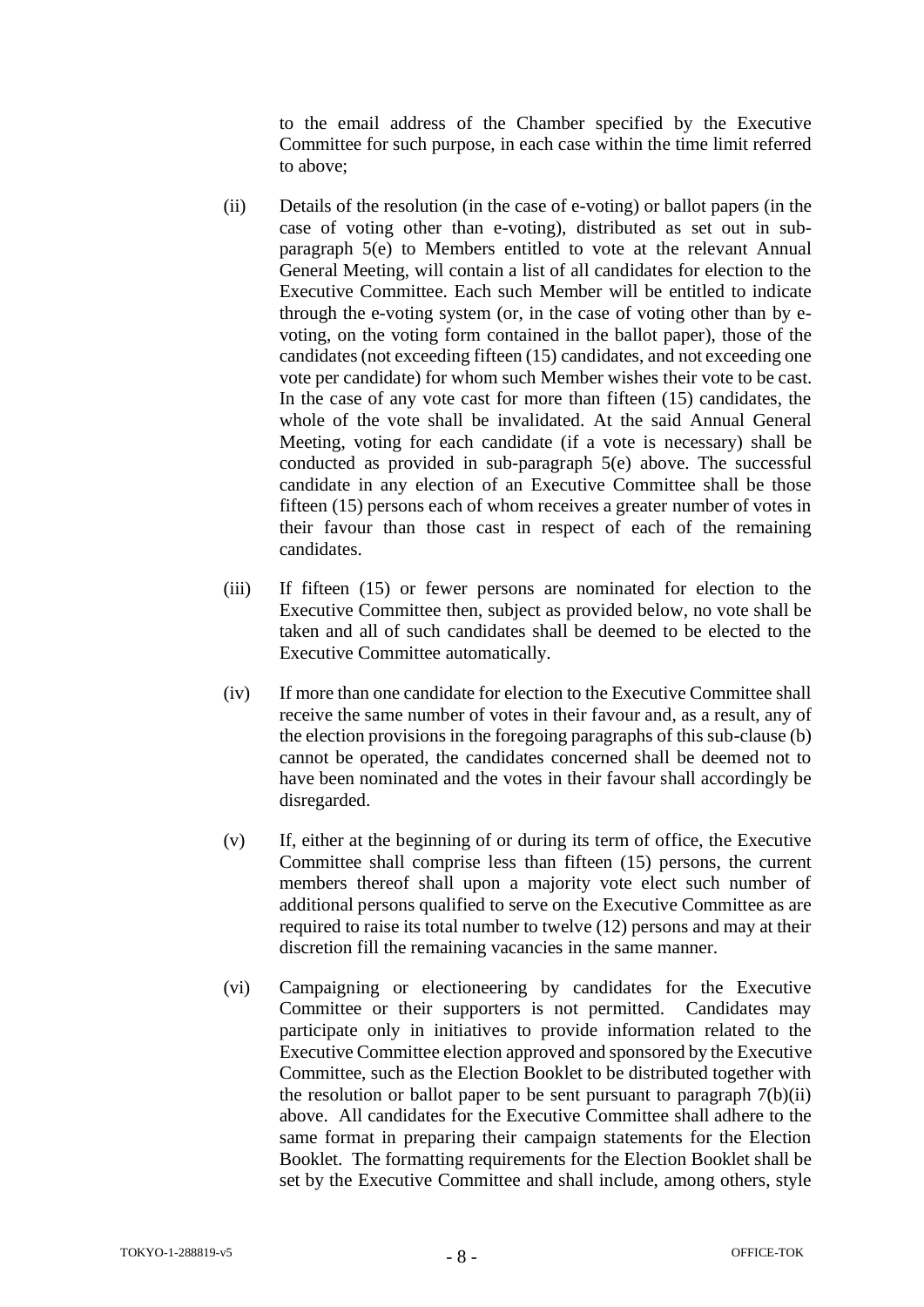to the email address of the Chamber specified by the Executive Committee for such purpose, in each case within the time limit referred to above;

- (ii) Details of the resolution (in the case of e-voting) or ballot papers (in the case of voting other than e-voting), distributed as set out in subparagraph 5(e) to Members entitled to vote at the relevant Annual General Meeting, will contain a list of all candidates for election to the Executive Committee. Each such Member will be entitled to indicate through the e-voting system (or, in the case of voting other than by evoting, on the voting form contained in the ballot paper), those of the candidates (not exceeding fifteen (15) candidates, and not exceeding one vote per candidate) for whom such Member wishes their vote to be cast. In the case of any vote cast for more than fifteen (15) candidates, the whole of the vote shall be invalidated. At the said Annual General Meeting, voting for each candidate (if a vote is necessary) shall be conducted as provided in sub-paragraph 5(e) above. The successful candidate in any election of an Executive Committee shall be those fifteen (15) persons each of whom receives a greater number of votes in their favour than those cast in respect of each of the remaining candidates.
- (iii) If fifteen (15) or fewer persons are nominated for election to the Executive Committee then, subject as provided below, no vote shall be taken and all of such candidates shall be deemed to be elected to the Executive Committee automatically.
- (iv) If more than one candidate for election to the Executive Committee shall receive the same number of votes in their favour and, as a result, any of the election provisions in the foregoing paragraphs of this sub-clause (b) cannot be operated, the candidates concerned shall be deemed not to have been nominated and the votes in their favour shall accordingly be disregarded.
- (v) If, either at the beginning of or during its term of office, the Executive Committee shall comprise less than fifteen (15) persons, the current members thereof shall upon a majority vote elect such number of additional persons qualified to serve on the Executive Committee as are required to raise its total number to twelve (12) persons and may at their discretion fill the remaining vacancies in the same manner.
- (vi) Campaigning or electioneering by candidates for the Executive Committee or their supporters is not permitted. Candidates may participate only in initiatives to provide information related to the Executive Committee election approved and sponsored by the Executive Committee, such as the Election Booklet to be distributed together with the resolution or ballot paper to be sent pursuant to paragraph  $7(b)(ii)$ above. All candidates for the Executive Committee shall adhere to the same format in preparing their campaign statements for the Election Booklet. The formatting requirements for the Election Booklet shall be set by the Executive Committee and shall include, among others, style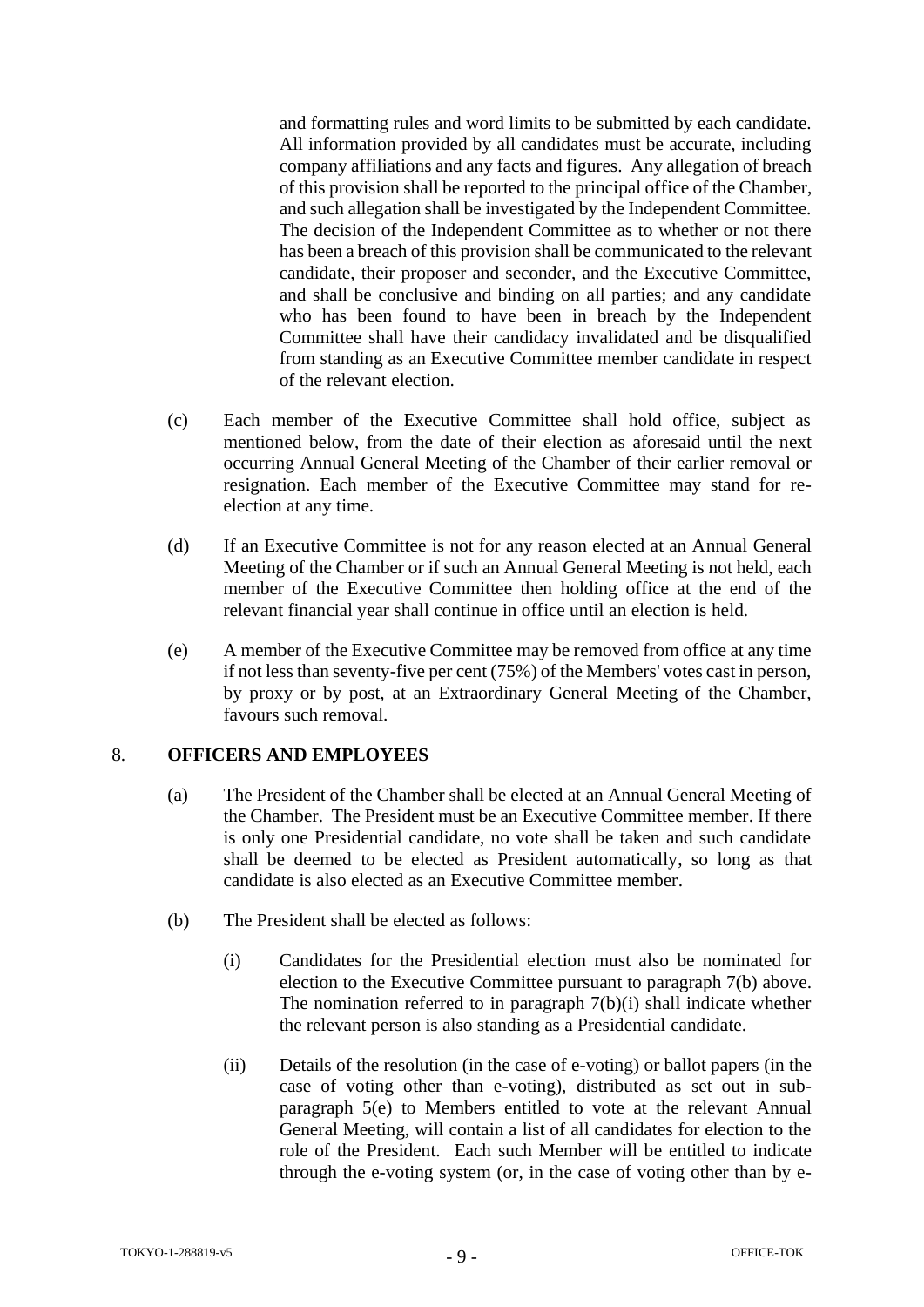and formatting rules and word limits to be submitted by each candidate. All information provided by all candidates must be accurate, including company affiliations and any facts and figures. Any allegation of breach of this provision shall be reported to the principal office of the Chamber, and such allegation shall be investigated by the Independent Committee. The decision of the Independent Committee as to whether or not there has been a breach of this provision shall be communicated to the relevant candidate, their proposer and seconder, and the Executive Committee, and shall be conclusive and binding on all parties; and any candidate who has been found to have been in breach by the Independent Committee shall have their candidacy invalidated and be disqualified from standing as an Executive Committee member candidate in respect of the relevant election.

- (c) Each member of the Executive Committee shall hold office, subject as mentioned below, from the date of their election as aforesaid until the next occurring Annual General Meeting of the Chamber of their earlier removal or resignation. Each member of the Executive Committee may stand for reelection at any time.
- (d) If an Executive Committee is not for any reason elected at an Annual General Meeting of the Chamber or if such an Annual General Meeting is not held, each member of the Executive Committee then holding office at the end of the relevant financial year shall continue in office until an election is held.
- (e) A member of the Executive Committee may be removed from office at any time if not less than seventy-five per cent (75%) of the Members' votes cast in person, by proxy or by post, at an Extraordinary General Meeting of the Chamber, favours such removal.

#### <span id="page-10-0"></span>8. **OFFICERS AND EMPLOYEES**

- (a) The President of the Chamber shall be elected at an Annual General Meeting of the Chamber. The President must be an Executive Committee member. If there is only one Presidential candidate, no vote shall be taken and such candidate shall be deemed to be elected as President automatically, so long as that candidate is also elected as an Executive Committee member.
- (b) The President shall be elected as follows:
	- (i) Candidates for the Presidential election must also be nominated for election to the Executive Committee pursuant to paragraph 7(b) above. The nomination referred to in paragraph  $7(b)(i)$  shall indicate whether the relevant person is also standing as a Presidential candidate.
	- (ii) Details of the resolution (in the case of e-voting) or ballot papers (in the case of voting other than e-voting), distributed as set out in subparagraph 5(e) to Members entitled to vote at the relevant Annual General Meeting, will contain a list of all candidates for election to the role of the President. Each such Member will be entitled to indicate through the e-voting system (or, in the case of voting other than by e-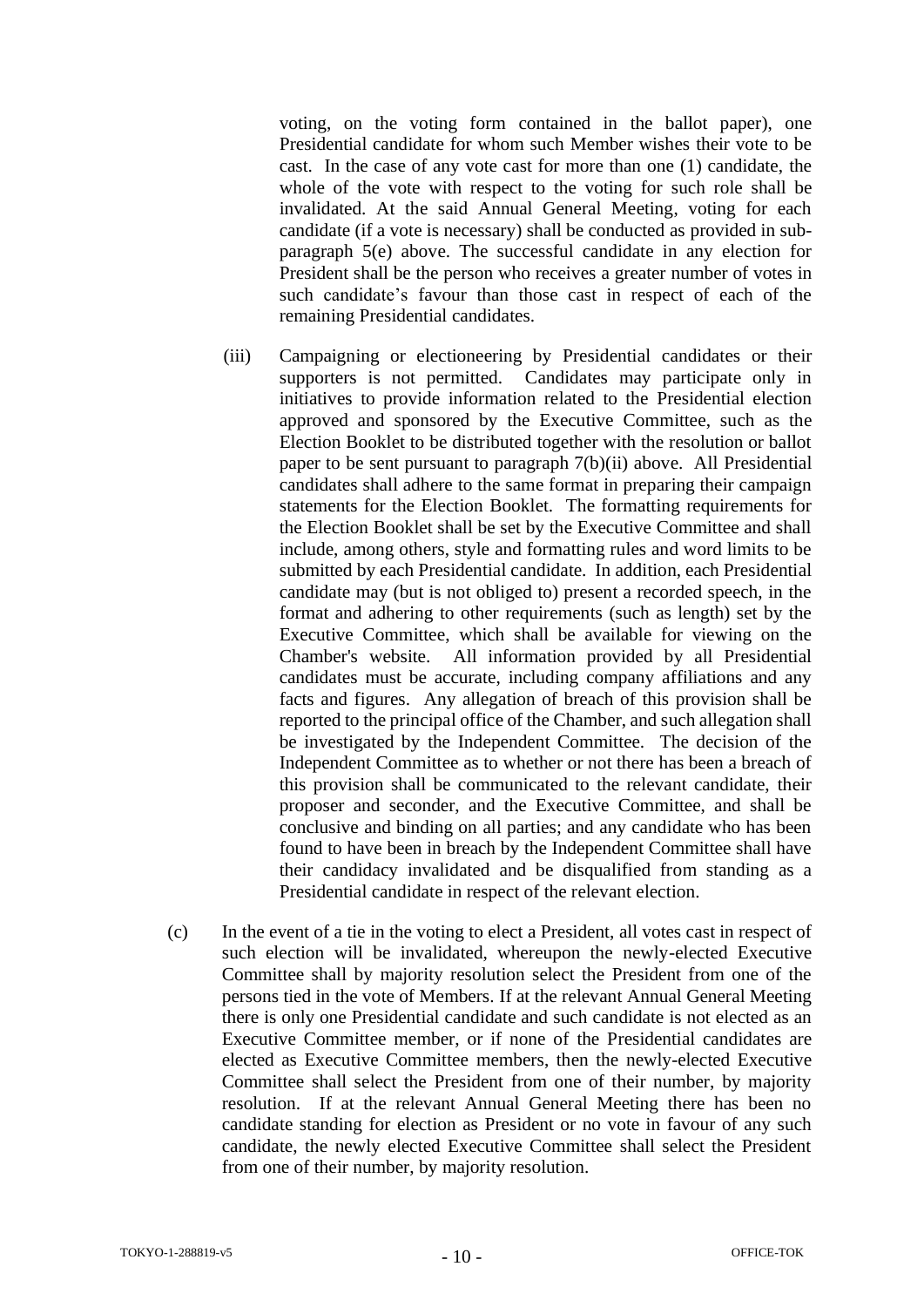voting, on the voting form contained in the ballot paper), one Presidential candidate for whom such Member wishes their vote to be cast. In the case of any vote cast for more than one (1) candidate, the whole of the vote with respect to the voting for such role shall be invalidated. At the said Annual General Meeting, voting for each candidate (if a vote is necessary) shall be conducted as provided in subparagraph 5(e) above. The successful candidate in any election for President shall be the person who receives a greater number of votes in such candidate's favour than those cast in respect of each of the remaining Presidential candidates.

- (iii) Campaigning or electioneering by Presidential candidates or their supporters is not permitted. Candidates may participate only in initiatives to provide information related to the Presidential election approved and sponsored by the Executive Committee, such as the Election Booklet to be distributed together with the resolution or ballot paper to be sent pursuant to paragraph 7(b)(ii) above. All Presidential candidates shall adhere to the same format in preparing their campaign statements for the Election Booklet. The formatting requirements for the Election Booklet shall be set by the Executive Committee and shall include, among others, style and formatting rules and word limits to be submitted by each Presidential candidate. In addition, each Presidential candidate may (but is not obliged to) present a recorded speech, in the format and adhering to other requirements (such as length) set by the Executive Committee, which shall be available for viewing on the Chamber's website. All information provided by all Presidential candidates must be accurate, including company affiliations and any facts and figures. Any allegation of breach of this provision shall be reported to the principal office of the Chamber, and such allegation shall be investigated by the Independent Committee. The decision of the Independent Committee as to whether or not there has been a breach of this provision shall be communicated to the relevant candidate, their proposer and seconder, and the Executive Committee, and shall be conclusive and binding on all parties; and any candidate who has been found to have been in breach by the Independent Committee shall have their candidacy invalidated and be disqualified from standing as a Presidential candidate in respect of the relevant election.
- (c) In the event of a tie in the voting to elect a President, all votes cast in respect of such election will be invalidated, whereupon the newly-elected Executive Committee shall by majority resolution select the President from one of the persons tied in the vote of Members. If at the relevant Annual General Meeting there is only one Presidential candidate and such candidate is not elected as an Executive Committee member, or if none of the Presidential candidates are elected as Executive Committee members, then the newly-elected Executive Committee shall select the President from one of their number, by majority resolution. If at the relevant Annual General Meeting there has been no candidate standing for election as President or no vote in favour of any such candidate, the newly elected Executive Committee shall select the President from one of their number, by majority resolution.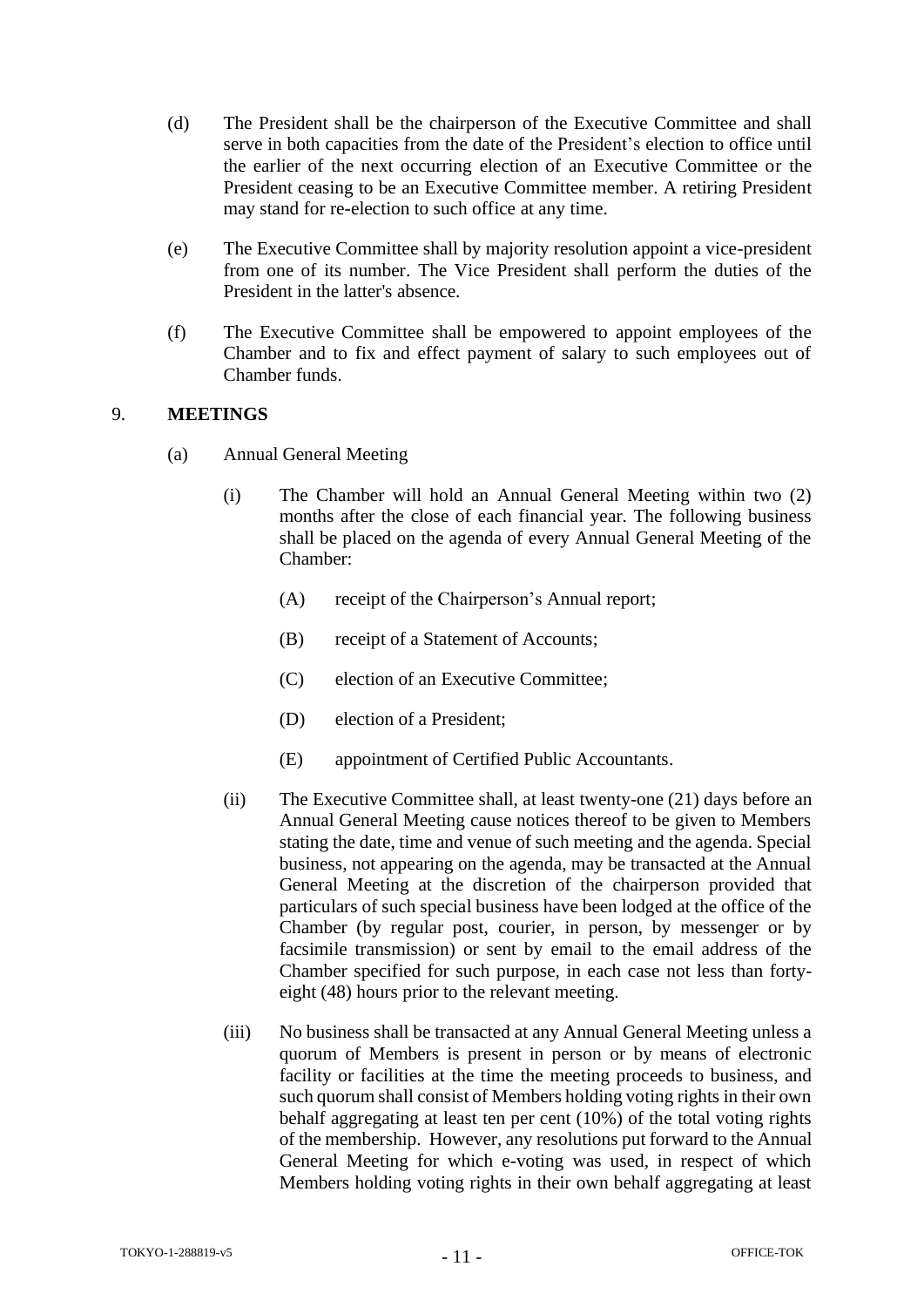- (d) The President shall be the chairperson of the Executive Committee and shall serve in both capacities from the date of the President's election to office until the earlier of the next occurring election of an Executive Committee or the President ceasing to be an Executive Committee member. A retiring President may stand for re-election to such office at any time.
- (e) The Executive Committee shall by majority resolution appoint a vice-president from one of its number. The Vice President shall perform the duties of the President in the latter's absence.
- (f) The Executive Committee shall be empowered to appoint employees of the Chamber and to fix and effect payment of salary to such employees out of Chamber funds.

# <span id="page-12-0"></span>9. **MEETINGS**

- (a) Annual General Meeting
	- (i) The Chamber will hold an Annual General Meeting within two (2) months after the close of each financial year. The following business shall be placed on the agenda of every Annual General Meeting of the Chamber:
		- (A) receipt of the Chairperson's Annual report;
		- (B) receipt of a Statement of Accounts;
		- (C) election of an Executive Committee;
		- (D) election of a President;
		- (E) appointment of Certified Public Accountants.
	- (ii) The Executive Committee shall, at least twenty-one (21) days before an Annual General Meeting cause notices thereof to be given to Members stating the date, time and venue of such meeting and the agenda. Special business, not appearing on the agenda, may be transacted at the Annual General Meeting at the discretion of the chairperson provided that particulars of such special business have been lodged at the office of the Chamber (by regular post, courier, in person, by messenger or by facsimile transmission) or sent by email to the email address of the Chamber specified for such purpose, in each case not less than fortyeight (48) hours prior to the relevant meeting.
	- (iii) No business shall be transacted at any Annual General Meeting unless a quorum of Members is present in person or by means of electronic facility or facilities at the time the meeting proceeds to business, and such quorum shall consist of Members holding voting rights in their own behalf aggregating at least ten per cent (10%) of the total voting rights of the membership. However, any resolutions put forward to the Annual General Meeting for which e-voting was used, in respect of which Members holding voting rights in their own behalf aggregating at least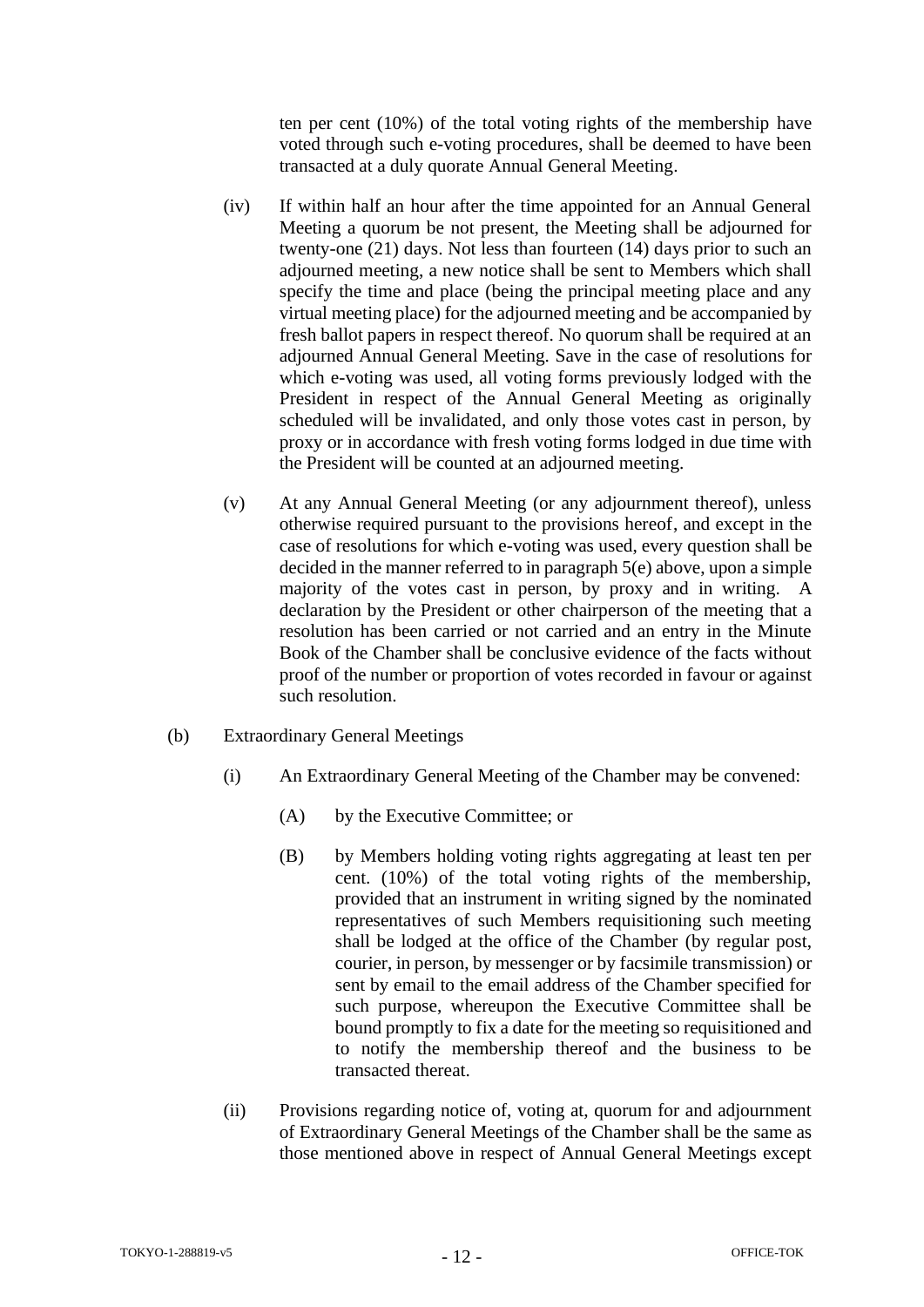ten per cent (10%) of the total voting rights of the membership have voted through such e-voting procedures, shall be deemed to have been transacted at a duly quorate Annual General Meeting.

- (iv) If within half an hour after the time appointed for an Annual General Meeting a quorum be not present, the Meeting shall be adjourned for twenty-one (21) days. Not less than fourteen (14) days prior to such an adjourned meeting, a new notice shall be sent to Members which shall specify the time and place (being the principal meeting place and any virtual meeting place) for the adjourned meeting and be accompanied by fresh ballot papers in respect thereof. No quorum shall be required at an adjourned Annual General Meeting. Save in the case of resolutions for which e-voting was used, all voting forms previously lodged with the President in respect of the Annual General Meeting as originally scheduled will be invalidated, and only those votes cast in person, by proxy or in accordance with fresh voting forms lodged in due time with the President will be counted at an adjourned meeting.
- (v) At any Annual General Meeting (or any adjournment thereof), unless otherwise required pursuant to the provisions hereof, and except in the case of resolutions for which e-voting was used, every question shall be decided in the manner referred to in paragraph 5(e) above, upon a simple majority of the votes cast in person, by proxy and in writing. A declaration by the President or other chairperson of the meeting that a resolution has been carried or not carried and an entry in the Minute Book of the Chamber shall be conclusive evidence of the facts without proof of the number or proportion of votes recorded in favour or against such resolution.
- (b) Extraordinary General Meetings
	- (i) An Extraordinary General Meeting of the Chamber may be convened:
		- (A) by the Executive Committee; or
		- (B) by Members holding voting rights aggregating at least ten per cent. (10%) of the total voting rights of the membership, provided that an instrument in writing signed by the nominated representatives of such Members requisitioning such meeting shall be lodged at the office of the Chamber (by regular post, courier, in person, by messenger or by facsimile transmission) or sent by email to the email address of the Chamber specified for such purpose, whereupon the Executive Committee shall be bound promptly to fix a date for the meeting so requisitioned and to notify the membership thereof and the business to be transacted thereat.
	- (ii) Provisions regarding notice of, voting at, quorum for and adjournment of Extraordinary General Meetings of the Chamber shall be the same as those mentioned above in respect of Annual General Meetings except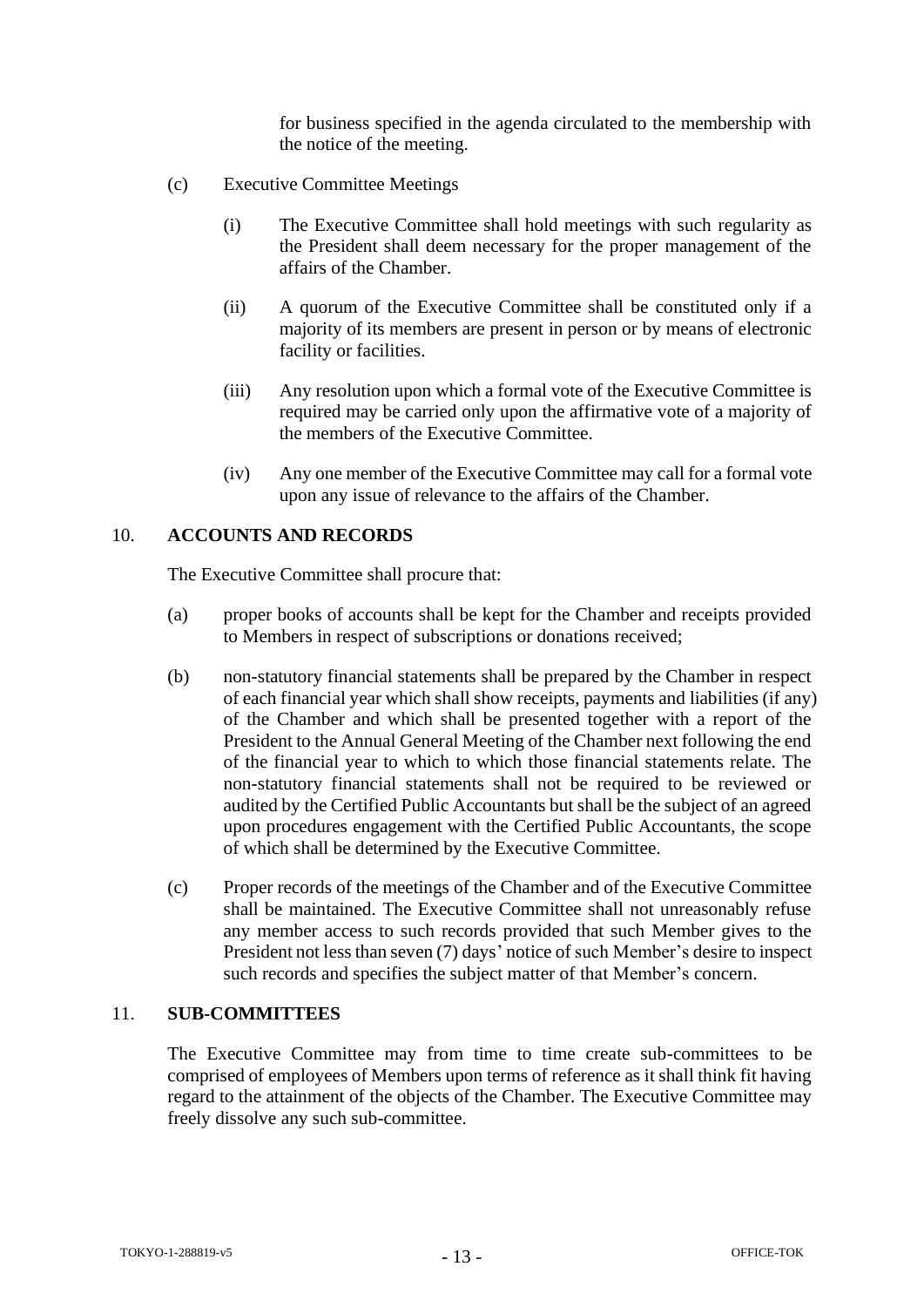for business specified in the agenda circulated to the membership with the notice of the meeting.

- (c) Executive Committee Meetings
	- (i) The Executive Committee shall hold meetings with such regularity as the President shall deem necessary for the proper management of the affairs of the Chamber.
	- (ii) A quorum of the Executive Committee shall be constituted only if a majority of its members are present in person or by means of electronic facility or facilities.
	- (iii) Any resolution upon which a formal vote of the Executive Committee is required may be carried only upon the affirmative vote of a majority of the members of the Executive Committee.
	- (iv) Any one member of the Executive Committee may call for a formal vote upon any issue of relevance to the affairs of the Chamber.

#### <span id="page-14-0"></span>10. **ACCOUNTS AND RECORDS**

The Executive Committee shall procure that:

- (a) proper books of accounts shall be kept for the Chamber and receipts provided to Members in respect of subscriptions or donations received;
- (b) non-statutory financial statements shall be prepared by the Chamber in respect of each financial year which shall show receipts, payments and liabilities (if any) of the Chamber and which shall be presented together with a report of the President to the Annual General Meeting of the Chamber next following the end of the financial year to which to which those financial statements relate. The non-statutory financial statements shall not be required to be reviewed or audited by the Certified Public Accountants but shall be the subject of an agreed upon procedures engagement with the Certified Public Accountants, the scope of which shall be determined by the Executive Committee.
- (c) Proper records of the meetings of the Chamber and of the Executive Committee shall be maintained. The Executive Committee shall not unreasonably refuse any member access to such records provided that such Member gives to the President not less than seven (7) days' notice of such Member's desire to inspect such records and specifies the subject matter of that Member's concern.

#### <span id="page-14-1"></span>11. **SUB-COMMITTEES**

The Executive Committee may from time to time create sub-committees to be comprised of employees of Members upon terms of reference as it shall think fit having regard to the attainment of the objects of the Chamber. The Executive Committee may freely dissolve any such sub-committee.